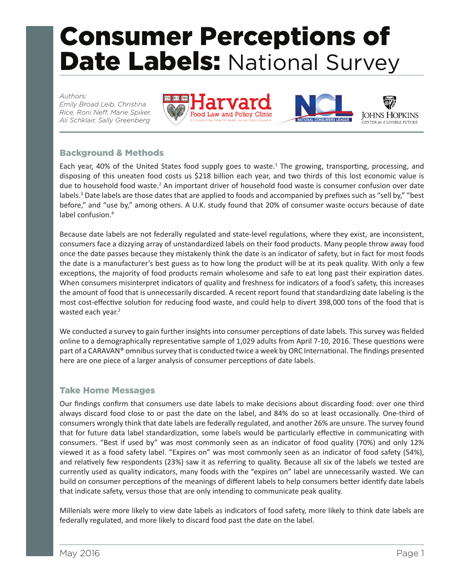# Consumer Perceptions of Date Labels: National Survey

#### *Authors:*

*Emily Broad Leib, Christina Rice, Roni Neff, Marie Spiker, Ali Schklair, Sally Greenberg*





## Background & Methods

Each year, 40% of the United States food supply goes to waste.<sup>1</sup> The growing, transporting, processing, and disposing of this uneaten food costs us \$218 billion each year, and two thirds of this lost economic value is due to household food waste.<sup>2</sup> An important driver of household food waste is consumer confusion over date labels.<sup>3</sup> Date labels are those dates that are applied to foods and accompanied by prefixes such as "sell by," "best before," and "use by," among others. A U.K. study found that 20% of consumer waste occurs because of date label confusion.<sup>4</sup>

Because date labels are not federally regulated and state-level regulations, where they exist, are inconsistent, consumers face a dizzying array of unstandardized labels on their food products. Many people throw away food once the date passes because they mistakenly think the date is an indicator of safety, but in fact for most foods the date is a manufacturer's best guess as to how long the product will be at its peak quality. With only a few exceptions, the majority of food products remain wholesome and safe to eat long past their expiration dates. When consumers misinterpret indicators of quality and freshness for indicators of a food's safety, this increases the amount of food that is unnecessarily discarded. A recent report found that standardizing date labeling is the most cost-effective solution for reducing food waste, and could help to divert 398,000 tons of the food that is wasted each year.<sup>2</sup>

We conducted a survey to gain further insights into consumer perceptions of date labels. This survey was fielded online to a demographically representative sample of 1,029 adults from April 7-10, 2016. These questions were part of a CARAVAN® omnibus survey that is conducted twice a week by ORC International. The findings presented here are one piece of a larger analysis of consumer perceptions of date labels.

## Take Home Messages

Our findings confirm that consumers use date labels to make decisions about discarding food: over one third always discard food close to or past the date on the label, and 84% do so at least occasionally. One-third of consumers wrongly think that date labels are federally regulated, and another 26% are unsure. The survey found that for future data label standardization, some labels would be particularly effective in communicating with consumers. "Best if used by" was most commonly seen as an indicator of food quality (70%) and only 12% viewed it as a food safety label. "Expires on" was most commonly seen as an indicator of food safety (54%), and relatively few respondents (23%) saw it as referring to quality. Because all six of the labels we tested are currently used as quality indicators, many foods with the "expires on" label are unnecessarily wasted. We can build on consumer perceptions of the meanings of different labels to help consumers better identify date labels that indicate safety, versus those that are only intending to communicate peak quality.

Millenials were more likely to view date labels as indicators of food safety, more likely to think date labels are federally regulated, and more likely to discard food past the date on the label.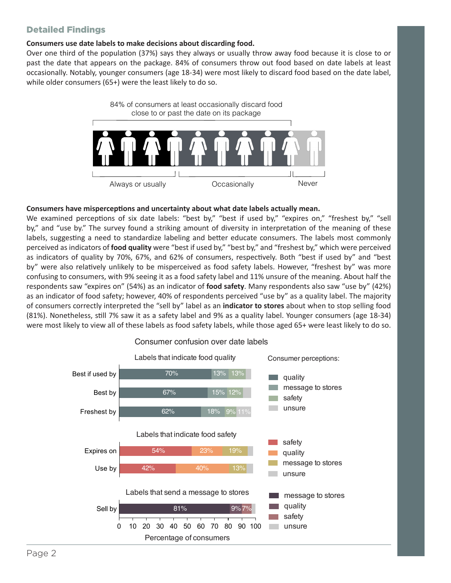## Detailed Findings

#### **Consumers use date labels to make decisions about discarding food.**

Over one third of the population (37%) says they always or usually throw away food because it is close to or past the date that appears on the package. 84% of consumers throw out food based on date labels at least occasionally. Notably, younger consumers (age 18-34) were most likely to discard food based on the date label, while older consumers (65+) were the least likely to do so.



#### **Consumers have misperceptions and uncertainty about what date labels actually mean.**

We examined perceptions of six date labels: "best by," "best if used by," "expires on," "freshest by," "sell by," and "use by." The survey found a striking amount of diversity in interpretation of the meaning of these labels, suggesting a need to standardize labeling and better educate consumers. The labels most commonly perceived as indicators of **food quality** were "best if used by," "best by," and "freshest by," which were perceived as indicators of quality by 70%, 67%, and 62% of consumers, respectively. Both "best if used by" and "best by" were also relatively unlikely to be misperceived as food safety labels. However, "freshest by" was more confusing to consumers, with 9% seeing it as a food safety label and 11% unsure of the meaning. About half the respondents saw "expires on" (54%) as an indicator of **food safety**. Many respondents also saw "use by" (42%) as an indicator of food safety; however, 40% of respondents perceived "use by" as a quality label. The majority of consumers correctly interpreted the "sell by" label as an **indicator to stores** about when to stop selling food (81%). Nonetheless, still 7% saw it as a safety label and 9% as a quality label. Younger consumers (age 18-34) were most likely to view all of these labels as food safety labels, while those aged 65+ were least likely to do so.



#### Consumer confusion over date labels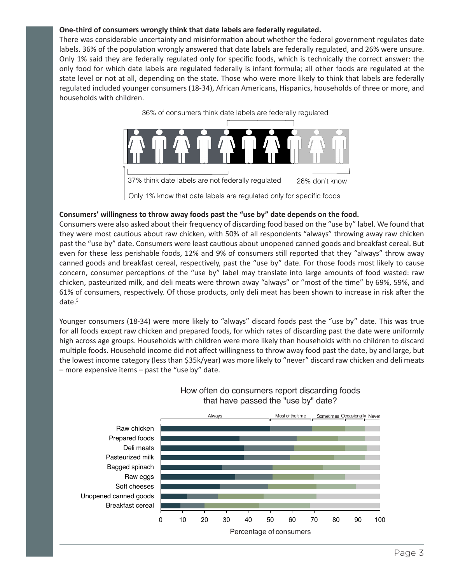#### **One-third of consumers wrongly think that date labels are federally regulated.**

There was considerable uncertainty and misinformation about whether the federal government regulates date labels. 36% of the population wrongly answered that date labels are federally regulated, and 26% were unsure. Only 1% said they are federally regulated only for specific foods, which is technically the correct answer: the only food for which date labels are regulated federally is infant formula; all other foods are regulated at the state level or not at all, depending on the state. Those who were more likely to think that labels are federally regulated included younger consumers (18-34), African Americans, Hispanics, households of three or more, and households with children.



#### **Consumers' willingness to throw away foods past the "use by" date depends on the food.**

Consumers were also asked about their frequency of discarding food based on the "use by" label. We found that they were most cautious about raw chicken, with 50% of all respondents "always" throwing away raw chicken past the "use by" date. Consumers were least cautious about unopened canned goods and breakfast cereal. But even for these less perishable foods, 12% and 9% of consumers still reported that they "always" throw away canned goods and breakfast cereal, respectively, past the "use by" date. For those foods most likely to cause concern, consumer perceptions of the "use by" label may translate into large amounts of food wasted: raw chicken, pasteurized milk, and deli meats were thrown away "always" or "most of the time" by 69%, 59%, and 61% of consumers, respectively. Of those products, only deli meat has been shown to increase in risk after the date.<sup>5</sup>

Younger consumers (18-34) were more likely to "always" discard foods past the "use by" date. This was true for all foods except raw chicken and prepared foods, for which rates of discarding past the date were uniformly high across age groups. Households with children were more likely than households with no children to discard multiple foods. Household income did not affect willingness to throw away food past the date, by and large, but the lowest income category (less than \$35k/year) was more likely to "never" discard raw chicken and deli meats – more expensive items – past the "use by" date.



#### How often do consumers report discarding foods that have passed the "use by" date?